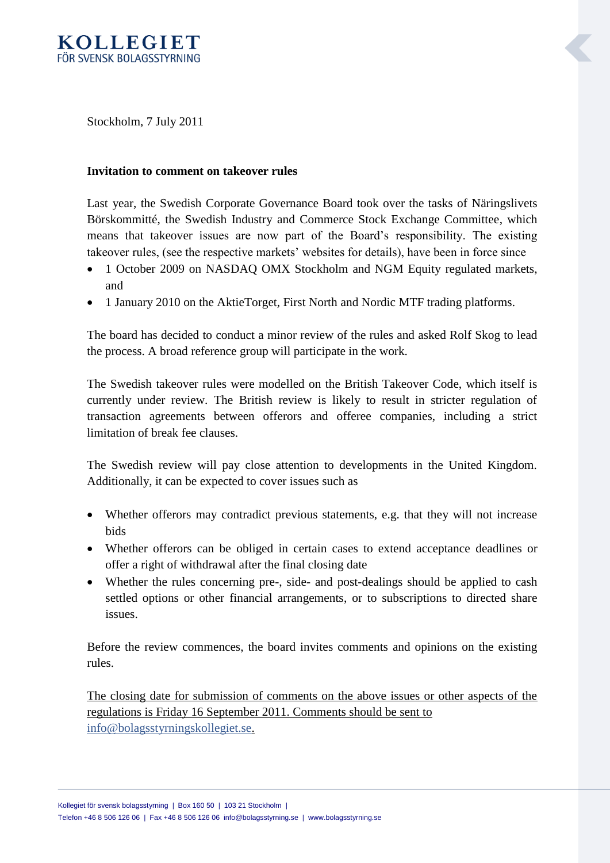

Stockholm, 7 July 2011

## **Invitation to comment on takeover rules**

Last year, the Swedish Corporate Governance Board took over the tasks of Näringslivets Börskommitté, the Swedish Industry and Commerce Stock Exchange Committee, which means that takeover issues are now part of the Board's responsibility. The existing takeover rules, (see the respective markets' websites for details), have been in force since

- 1 October 2009 on NASDAQ OMX Stockholm and NGM Equity regulated markets, and
- 1 January 2010 on the AktieTorget, First North and Nordic MTF trading platforms.

The board has decided to conduct a minor review of the rules and asked Rolf Skog to lead the process. A broad reference group will participate in the work.

The Swedish takeover rules were modelled on the British Takeover Code, which itself is currently under review. The British review is likely to result in stricter regulation of transaction agreements between offerors and offeree companies, including a strict limitation of break fee clauses.

The Swedish review will pay close attention to developments in the United Kingdom. Additionally, it can be expected to cover issues such as

- Whether offerors may contradict previous statements, e.g. that they will not increase bids
- Whether offerors can be obliged in certain cases to extend acceptance deadlines or offer a right of withdrawal after the final closing date
- Whether the rules concerning pre-, side- and post-dealings should be applied to cash settled options or other financial arrangements, or to subscriptions to directed share issues.

Before the review commences, the board invites comments and opinions on the existing rules.

The closing date for submission of comments on the above issues or other aspects of the regulations is Friday 16 September 2011. Comments should be sent to [info@bolagsstyrningskollegiet.se.](mailto:info@bolagsstyrningskollegiet.se)